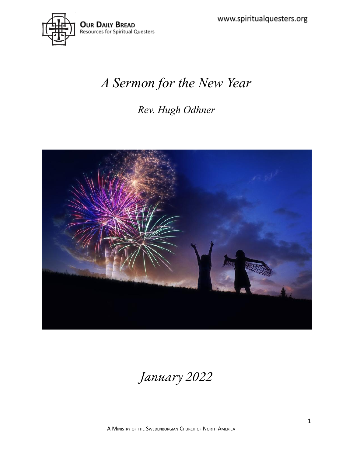

# *A Sermon for the New Year*

### *Rev. Hugh Odhner*



*January 2022*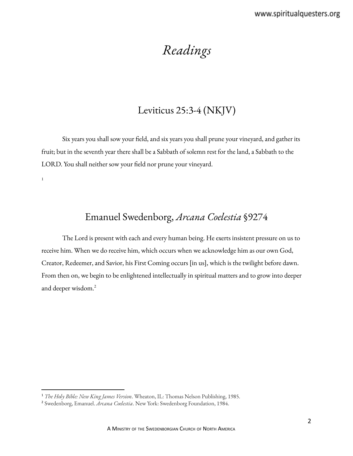## *Readings*

### Leviticus 25:3-4 (NKJV)

Six years you shall sow your field, and six years you shall prune your vineyard, and gather its fruit; but in the seventh year there shall be a Sabbath of solemn rest for the land, a Sabbath to the LORD. You shall neither sow your field nor prune your vineyard.

1

#### Emanuel Swedenborg, *Arcana Coelestia* §9274

The Lord is present with each and every human being. He exerts insistent pressure on us to receive him. When we do receive him, which occurs when we acknowledge him as our own God, Creator, Redeemer, and Savior, his First Coming occurs [in us], which is the twilight before dawn. From then on, we begin to be enlightened intellectually in spiritual matters and to grow into deeper and deeper wisdom. 2

<sup>1</sup> *The Holy Bible: New King James Version*. Wheaton, IL: Thomas Nelson Publishing, 1985.

<sup>2</sup> Swedenborg, Emanuel. *Arcana Coelestia*. New York: Swedenborg Foundation, 1984.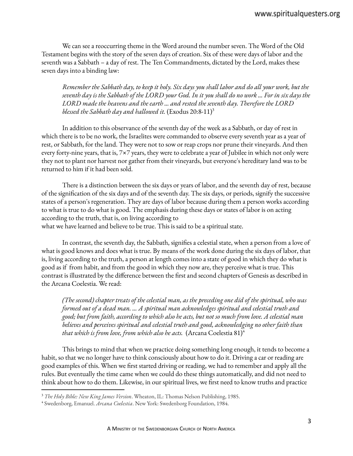We can see a reoccurring theme in the Word around the number seven. The Word of the Old Testament begins with the story of the seven days of creation. Six of these were days of labor and the seventh was a Sabbath – a day of rest. The Ten Commandments, dictated by the Lord, makes these seven days into a binding law:

Remember the Sabbath day, to keep it holy. Six days you shall labor and do all your work, but the seventh day is the Sabbath of the LORD your God. In it you shall do no work ... For in six days the *LORD made the heavens and the earth ... and rested the seventh day. Therefore the LORD blessed the Sabbath day and hallowed it.* (Exodus 20:8-11) 3

In addition to this observance of the seventh day of the week as a Sabbath, or day of rest in which there is to be no work, the Israelites were commanded to observe every seventh year as a year of rest, or Sabbath, for the land. They were not to sow or reap crops nor prune their vineyards. And then every forty-nine years, that is, 7×7 years, they were to celebrate a year of Jubilee in which not only were they not to plant nor harvest nor gather from their vineyards, but everyone's hereditary land was to be returned to him if it had been sold.

There is a distinction between the six days or years of labor, and the seventh day of rest, because of the signification of the six days and of the seventh day. The six days, or periods, signify the successive states of a person's regeneration. They are days of labor because during them a person works according to what is true to do what is good. The emphasis during these days or states of labor is on acting according to the truth, that is, on living according to what we have learned and believe to be true. This is said to be a spiritual state.

In contrast, the seventh day, the Sabbath, signifies a celestial state, when a person from a love of what is good knows and does what is true. By means of the work done during the six days of labor, that is, living according to the truth, a person at length comes into a state of good in which they do what is good as if from habit, and from the good in which they now are, they perceive what is true. This contrast is illustrated by the difference between the first and second chapters of Genesis as described in the Arcana Coelestia. We read:

(The second) chapter treats of the celestial man, as the preceding one did of the spiritual, who was *formed out of a dead man. ... A spiritual man acknowledges spiritual and celestial truth and* good; but from faith, according to which also he acts, but not so much from love. A celestial man *believes and perceives spiritual and celestial truth and good, acknowledging no other faith than that which is from love, from which also he acts.* (Arcana Coelestia 81) 4

This brings to mind that when we practice doing something long enough, it tends to become a habit, so that we no longer have to think consciously about how to do it. Driving a car or reading are good examples of this. When we first started driving or reading, we had to remember and apply all the rules. But eventually the time came when we could do these things automatically, and did not need to think about how to do them. Likewise, in our spiritual lives, we first need to know truths and practice

<sup>3</sup> *The Holy Bible: New King James Version*. Wheaton, IL: Thomas Nelson Publishing, 1985.

<sup>4</sup> Swedenborg, Emanuel. *Arcana Coelestia*. New York: Swedenborg Foundation, 1984.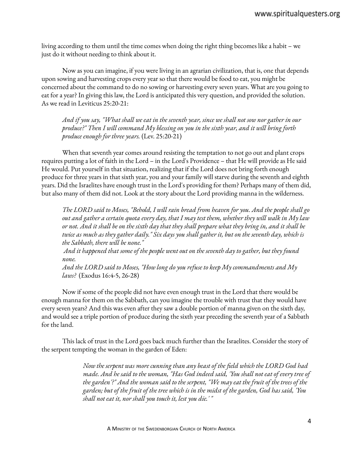living according to them until the time comes when doing the right thing becomes like a habit – we just do it without needing to think about it.

Now as you can imagine, if you were living in an agrarian civilization, that is, one that depends upon sowing and harvesting crops every year so that there would be food to eat, you might be concerned about the command to do no sowing or harvesting every seven years. What are you going to eat for a year? In giving this law, the Lord is anticipated this very question, and provided the solution. As we read in Leviticus 25:20-21:

And if you say, "What shall we eat in the seventh year, since we shall not sow nor gather in our *produce?" Then I will command My blessing on you in the sixth year, and it will bring forth produce enough for three years.* (Lev. 25:20-21)

When that seventh year comes around resisting the temptation to not go out and plant crops requires putting a lot of faith in the Lord – in the Lord's Providence – that He will provide as He said He would. Put yourself in that situation, realizing that if the Lord does not bring forth enough produce for three years in that sixth year, you and your family will starve during the seventh and eighth years. Did the Israelites have enough trust in the Lord's providing for them? Perhaps many of them did, but also many of them did not. Look at the story about the Lord providing manna in the wilderness.

The LORD said to Moses, "Behold, I will rain bread from heaven for you. And the people shall go out and gather a certain quota every day, that I may test them, whether they will walk in My law or not. And it shall be on the sixth day that they shall prepare what they bring in, and it shall be twice as much as they gather daily." Six days you shall gather it, but on the seventh day, which is *the Sabbath, there will be none."*

And it happened that some of the people went out on the seventh day to gather, but they found *none.*

*And the LORD said to Moses, "How long do you refuse to keep My commandments and My laws?* (Exodus 16:4-5, 26-28)

Now if some of the people did not have even enough trust in the Lord that there would be enough manna for them on the Sabbath, can you imagine the trouble with trust that they would have every seven years? And this was even after they saw a double portion of manna given on the sixth day, and would see a triple portion of produce during the sixth year preceding the seventh year of a Sabbath for the land.

This lack of trust in the Lord goes back much further than the Israelites. Consider the story of the serpent tempting the woman in the garden of Eden:

> *Now the serpent was more cunning than any beast of the field which the LORD God had made. And he said to the woman, "Has God indeed said, 'You shall not eat of every tree of the garden'?" And the woman said to the serpent, "We may eat the fruit of the trees of the* garden; but of the fruit of the tree which is in the midst of the garden, God has said, 'You *shall not eat it, nor shall you touch it, lest you die.' "*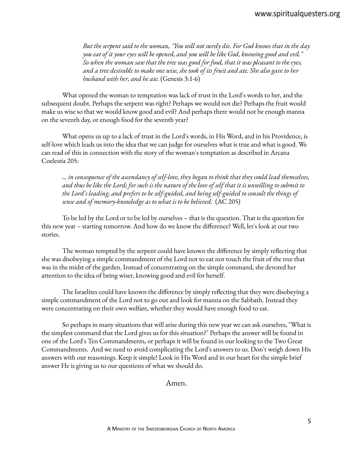*But the serpent said to the woman, "You will not surely die. For God knows that in the day you eat of it your eyes will be opened, and you will be like God, knowing good and evil." So when the woman saw that the tree was good for food, that it was pleasant to the eyes,* and a tree desirable to make one wise, she took of its fruit and ate. She also gave to her *husband with her, and he ate.* (Genesis 3:1-6)

What opened the woman to temptation was lack of trust in the Lord's words to her, and the subsequent doubt. Perhaps the serpent was right? Perhaps we would not die? Perhaps the fruit would make us wise so that we would know good and evil? And perhaps there would not be enough manna on the seventh day, or enough food for the seventh year?

What opens us up to a lack of trust in the Lord's words, in His Word, and in his Providence, is self-love which leads us into the idea that we can judge for ourselves what is true and what is good. We can read of this in connection with the story of the woman's temptation as described in Arcana Coelestia 205:

*... in consequence of the ascendancy of self-love, they began to think that they could lead themselves,* and thus be like the Lord; for such is the nature of the love of self that it is unwilling to submit to *the Lord's leading, and prefers to be self-guided, and being self-guided to consult the things of sense and of memory-knowledge as to what is to be believed.* (AC 205)

To be led by the Lord or to be led by ourselves – that is the question. That is the question for this new year – starting tomorrow. And how do we know the difference? Well, let's look at our two stories.

The woman tempted by the serpent could have known the difference by simply reflecting that she was disobeying a simple commandment of the Lord not to eat nor touch the fruit of the tree that was in the midst of the garden. Instead of concentrating on the simple command, she devoted her attention to the idea of being wiser, knowing good and evil for herself.

The Israelites could have known the difference by simply reflecting that they were disobeying a simple commandment of the Lord not to go out and look for manna on the Sabbath. Instead they were concentrating on their own welfare, whether they would have enough food to eat.

So perhaps in many situations that will arise during this new year we can ask ourselves, "What is the simplest command that the Lord gives us for this situation?" Perhaps the answer will be found in one of the Lord's Ten Commandments, or perhaps it will be found in our looking to the Two Great Commandments. And we need to avoid complicating the Lord's answers to us. Don't weigh down His answers with our reasonings. Keep it simple! Look in His Word and in our heart for the simple brief answer He is giving us to our questions of what we should do.

#### Amen.